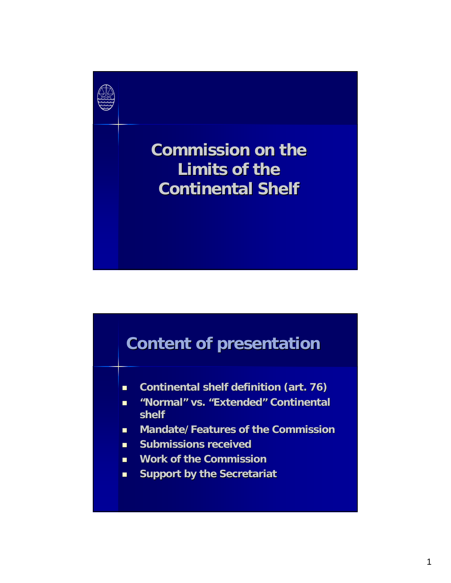

**Commission on the Limits of the Continental Shelf Continental Shelf**

## **Content of presentation Content of presentation**

- **E** Continental shelf definition (art. 76)
- $\blacksquare$  "Normal" vs. "Extended" Continental **shelf**
- **Mandate/Features of the Commission**
- **E** Submissions received
- **Work of the Commission**
- **EXEC** Support by the Secretariat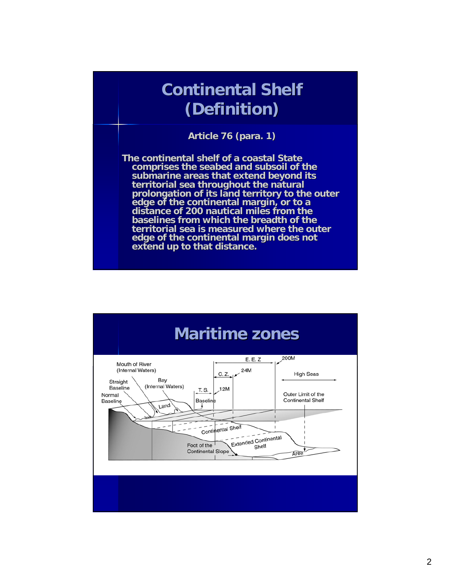## **Continental Shelf (Definition) (Definition)**

**Article 76 (para. 1) Article 76 (para. 1)**

**The continental shelf of a coastal State comprises the seabed and subsoil of the subsoil of the seabed and subsoil of the submarine areas throughout the natural territorial sea throughout the natural prolongation of its land territory to the outer prolongation of its land territory to the outer**  edge of the continental margin, or to a<br>distance of 200 nautical miles from the **baselines from which the breadth of the territorial sea is measured where the outer edge of the continental margin does not extend up to that distance.** 

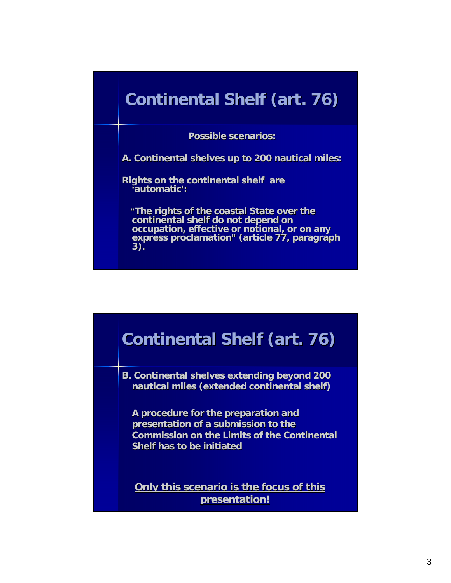## **Continental Shelf (art. 76) Continental Shelf (art. 76)**

**Possible scenarios: Possible scenarios:**

**A. Continental shelves up to 200 nautical miles: A. Continental shelves up to 200 nautical miles:**

**Rights on the continental shelf are Rights on the continental shelf are 'automatic automatic':**

"The rights of the coastal State over the continental shelf do not depend on **occupation, effective or occupation, effective or notional, or on any notional, or on any**  express proclamation" (article 77, paragraph<br>3).

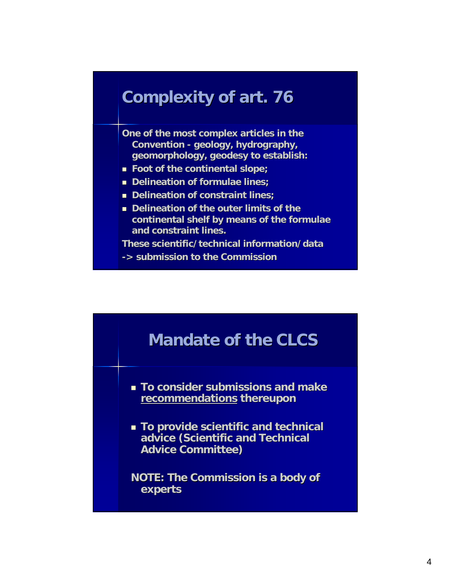#### **Complexity of art. 76 Complexity of art. 76**

**One of the most complex articles in the Convention - geology, hydrography, geomorphology, geodesy to establish: geomorphology, geodesy to establish:** 

- **Foot of the continental slope; Foot of the continental slope;**
- **Delineation of formulae lines;**
- **Delineation of constraint lines;**
- **Delineation of the outer limits of the** continental shelf by means of the formulae **and constraint lines. and constraint lines.**

**These scientific/technical information/data These scientific/technical information/data** 

**-> submission to the Commission** 

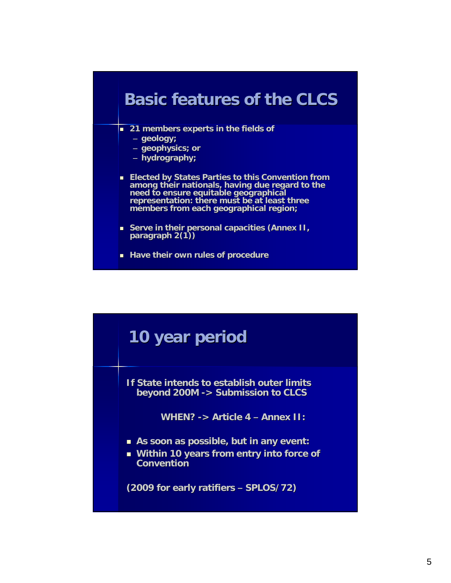### **Basic features of the CLCS Basic features of the CLCS**

- **21 members experts in the fields of fields of** 
	- **geology;**
	- **geophysics; or geophysics; or**
	- **hydrography; hydrography;**
- **Elected by States Parties to this Convention from** among their nationals, having due regard to the **need to ensure equitable geographical need to equitable geographical representation: there must be at least three representation: members from each geographical region; members from each geographical region;**
- **Serve in their personal capacities (Annex II, paragraph 2(1)) paragraph 2(1))**
- **Have their own rules of procedure**

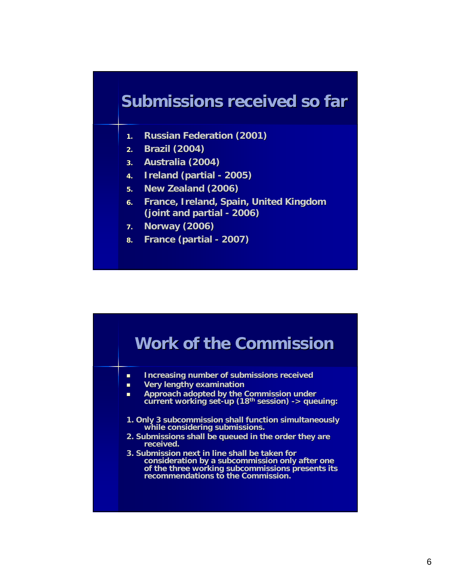### **Submissions received so far**

- **1. Russian Federation (2001) Russian Federation (2001)**
- **2. Brazil (2004) Brazil (2004)**
- **3. Australia (2004) Australia (2004)**
- **4. Ireland (partial Ireland (partial - 2005)**
- **5. New Zealand (2006) New Zealand (2006)**
- **6. France, Ireland, Spain, United Kingdom France, Ireland, Spain, United Kingdom (joint and partial (joint and partial - 2006)**
- **7. Norway (2006) Norway (2006)**
- **8. France (partial France (partial - 2007)**